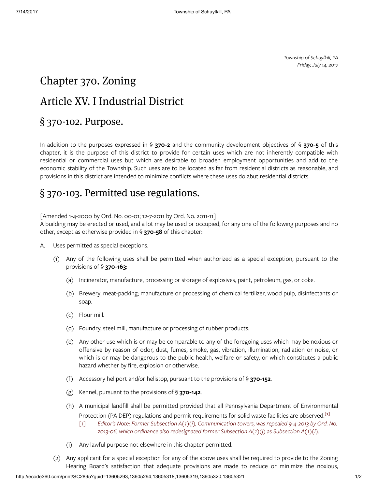Township of Schuylkill, PA Friday, July 14, 2017

# <span id="page-0-1"></span>[Chapter](#page-0-1) 370. Zoning

# <span id="page-0-2"></span>Article XV. I [Industrial](#page-0-2) District

## <span id="page-0-3"></span>§ 370-102. [Purpose.](#page-0-3)

In addition to the purposes expressed in § [370-2](http://ecode360.com/print/13604408#13604408) and the community development objectives of § [370-5](http://ecode360.com/print/13604430#13604430) of this chapter, it is the purpose of this district to provide for certain uses which are not inherently compatible with residential or commercial uses but which are desirable to broaden employment opportunities and add to the economic stability of the Township. Such uses are to be located as far from residential districts as reasonable, and provisions in this district are intended to minimize conflicts where these uses do abut residential districts.

### <span id="page-0-4"></span>§ 370-103. Permitted use [regulations.](#page-0-4)

#### [Amended 1-4-2000 by Ord. No. 00-01; 12-7-2011 by Ord. No. 2011-11]

A building may be erected or used, and a lot may be used or occupied, for any one of the following purposes and no other, except as otherwise provided in  $\S$  [370-58](http://ecode360.com/print/13604872#13604872) of this chapter:

- <span id="page-0-5"></span><span id="page-0-0"></span>[A.](http://ecode360.com/print/13605295#13605295) Uses permitted as special exceptions.
	- [\(1\)](http://ecode360.com/print/13605296#13605296) Any of the following uses shall be permitted when authorized as a special exception, pursuant to the provisions of § [370-163](http://ecode360.com/print/13606270#13606270):
		- [\(a\)](http://ecode360.com/print/13605297#13605297) Incinerator, manufacture, processing or storage of explosives, paint, petroleum, gas, or coke.
		- [\(b\)](http://ecode360.com/print/13605298#13605298) Brewery, meat-packing; manufacture or processing of chemical fertilizer, wood pulp, disinfectants or soap.
		- [\(c\)](http://ecode360.com/print/13605299#13605299) Flour mill.
		- [\(d\)](http://ecode360.com/print/13605300#13605300) Foundry, steel mill, manufacture or processing of rubber products.
		- [\(e\)](http://ecode360.com/print/13605301#13605301) Any other use which is or may be comparable to any of the foregoing uses which may be noxious or offensive by reason of odor, dust, fumes, smoke, gas, vibration, illumination, radiation or noise, or which is or may be dangerous to the public health, welfare or safety, or which constitutes a public hazard whether by fire, explosion or otherwise.
		- [\(f\)](http://ecode360.com/print/13605302#13605302) Accessory heliport and/or helistop, pursuant to the provisions of  $\S 370$ -152.
		- [\(g\)](http://ecode360.com/print/13605303#13605303) Kennel, pursuant to the provisions of  $\S 370-142$  $\S 370-142$ .
		- [\(h\)](http://ecode360.com/print/13605304#13605304) A municipal landfill shall be permitted provided that all Pennsylvania Department of Environmental Protection (PA DEP) regulations and permit requirements for solid waste facilities are observed.<sup>[\[1\]](#page-0-5)</sup>
			- $\lceil 1 \rceil$ Editor's Note: Former Subsection  $A(1)(i)$ , Communication towers, was repealed 9-4-2013 by Ord. No. 2013-06, which ordinance also redesignated former Subsection  $A(1)(i)$  as Subsection  $A(1)(i)$ .
		- [\(i\)](http://ecode360.com/print/13605314#13605314) Any lawful purpose not elsewhere in this chapter permitted.
	- [\(2\)](http://ecode360.com/print/13605315#13605315) Any applicant for a special exception for any of the above uses shall be required to provide to the Zoning Hearing Board's satisfaction that adequate provisions are made to reduce or minimize the noxious,